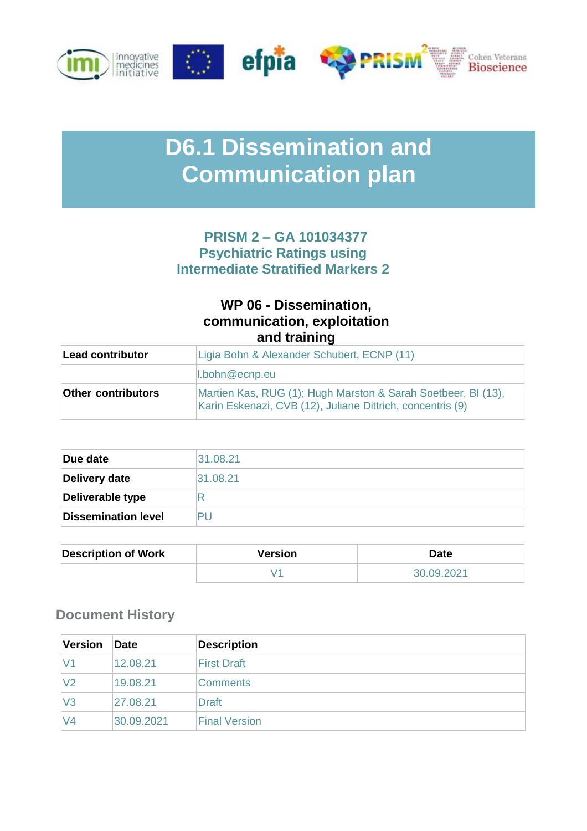

# **D6.1 Dissemination and Communication plan**

# **PRISM 2 – GA 101034377 Psychiatric Ratings using Intermediate Stratified Markers 2**

# **WP 06 - Dissemination, communication, exploitation and training**

| <b>Lead contributor</b>   | Ligia Bohn & Alexander Schubert, ECNP (11)                                                                                  |  |  |  |
|---------------------------|-----------------------------------------------------------------------------------------------------------------------------|--|--|--|
|                           | $\ $ .bohn@ecnp.eu                                                                                                          |  |  |  |
| <b>Other contributors</b> | Martien Kas, RUG (1); Hugh Marston & Sarah Soetbeer, BI (13),<br>Karin Eskenazi, CVB (12), Juliane Dittrich, concentris (9) |  |  |  |

| Due date                   | 31.08.21 |
|----------------------------|----------|
| Delivery date              | 31.08.21 |
| Deliverable type           |          |
| <b>Dissemination level</b> |          |

| <b>Description of Work</b> | <b>Version</b> | <b>Date</b> |
|----------------------------|----------------|-------------|
|                            |                | 30.09.2021  |

# **Document History**

| <b>Version</b> | Date       | <b>Description</b>   |
|----------------|------------|----------------------|
| V <sub>1</sub> | 12.08.21   | <b>First Draft</b>   |
| V <sub>2</sub> | 19.08.21   | <b>Comments</b>      |
| $\mathsf{V}3$  | 27.08.21   | <b>Draft</b>         |
| V4             | 30.09.2021 | <b>Final Version</b> |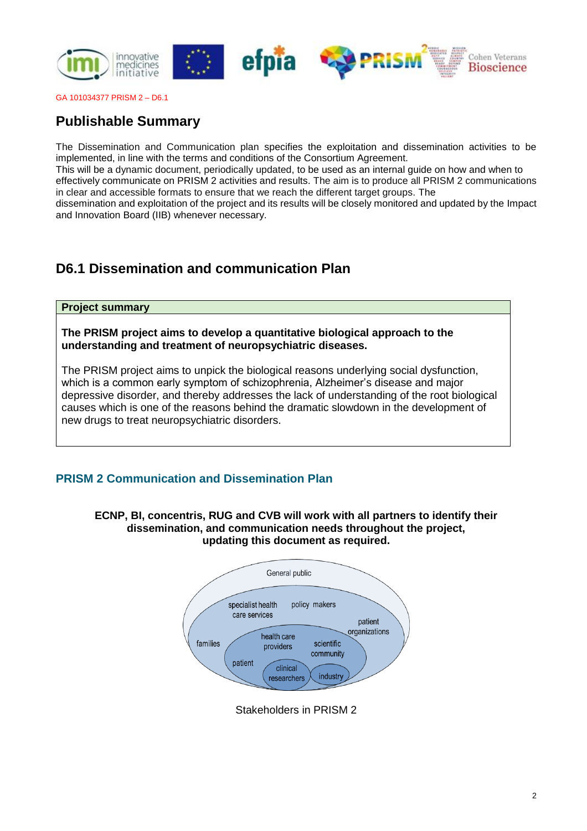

# **Publishable Summary**

The Dissemination and Communication plan specifies the exploitation and dissemination activities to be implemented, in line with the terms and conditions of the Consortium Agreement.

This will be a dynamic document, periodically updated, to be used as an internal guide on how and when to effectively communicate on PRISM 2 activities and results. The aim is to produce all PRISM 2 communications in clear and accessible formats to ensure that we reach the different target groups. The

dissemination and exploitation of the project and its results will be closely monitored and updated by the Impact and Innovation Board (IIB) whenever necessary.

# **D6.1 Dissemination and communication Plan**

## **Project summary**

**The PRISM project aims to develop a quantitative biological approach to the understanding and treatment of neuropsychiatric diseases.**

The PRISM project aims to unpick the biological reasons underlying social dysfunction, which is a common early symptom of schizophrenia, Alzheimer's disease and major depressive disorder, and thereby addresses the lack of understanding of the root biological causes which is one of the reasons behind the dramatic slowdown in the development of new drugs to treat neuropsychiatric disorders.

# **PRISM 2 Communication and Dissemination Plan**

**ECNP, BI, concentris, RUG and CVB will work with all partners to identify their dissemination, and communication needs throughout the project, updating this document as required.**



Stakeholders in PRISM 2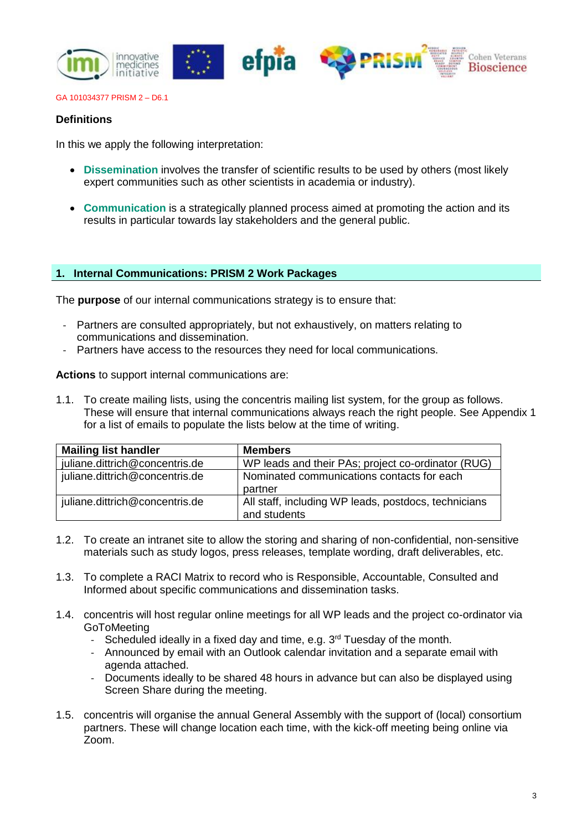

## **Definitions**

In this we apply the following interpretation:

- **Dissemination** involves the transfer of scientific results to be used by others (most likely expert communities such as other scientists in academia or industry).
- **Communication** is a strategically planned process aimed at promoting the action and its results in particular towards lay stakeholders and the general public.

## **1. Internal Communications: PRISM 2 Work Packages**

The **purpose** of our internal communications strategy is to ensure that:

- Partners are consulted appropriately, but not exhaustively, on matters relating to communications and dissemination.
- Partners have access to the resources they need for local communications.

**Actions** to support internal communications are:

1.1. To create mailing lists, using the concentris mailing list system, for the group as follows. These will ensure that internal communications always reach the right people. See Appendix 1 for a list of emails to populate the lists below at the time of writing.

| <b>Mailing list handler</b>    | <b>Members</b>                                                       |
|--------------------------------|----------------------------------------------------------------------|
| juliane.dittrich@concentris.de | WP leads and their PAs; project co-ordinator (RUG)                   |
| juliane.dittrich@concentris.de | Nominated communications contacts for each<br>partner                |
| juliane.dittrich@concentris.de | All staff, including WP leads, postdocs, technicians<br>and students |

- 1.2. To create an intranet site to allow the storing and sharing of non-confidential, non-sensitive materials such as study logos, press releases, template wording, draft deliverables, etc.
- 1.3. To complete a RACI Matrix to record who is Responsible, Accountable, Consulted and Informed about specific communications and dissemination tasks.
- 1.4. concentris will host regular online meetings for all WP leads and the project co-ordinator via **GoToMeeting** 
	- Scheduled ideally in a fixed day and time, e.g.  $3<sup>rd</sup>$  Tuesday of the month.
	- Announced by email with an Outlook calendar invitation and a separate email with agenda attached.
	- Documents ideally to be shared 48 hours in advance but can also be displayed using Screen Share during the meeting.
- 1.5. concentris will organise the annual General Assembly with the support of (local) consortium partners. These will change location each time, with the kick-off meeting being online via Zoom.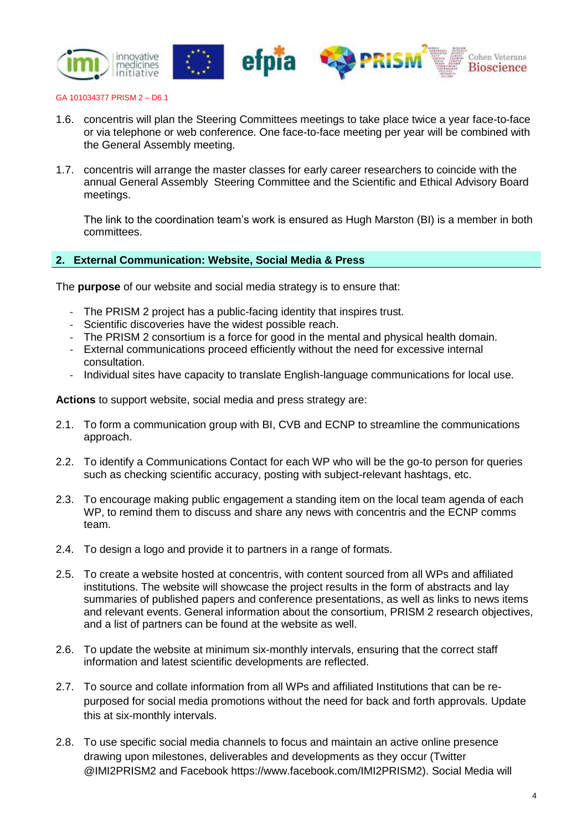

- 1.6. concentris will plan the Steering Committees meetings to take place twice a year face-to-face or via telephone or web conference. One face-to-face meeting per year will be combined with the General Assembly meeting.
- 1.7. concentris will arrange the master classes for early career researchers to coincide with the annual General Assembly Steering Committee and the Scientific and Ethical Advisory Board meetings.

The link to the coordination team's work is ensured as Hugh Marston (BI) is a member in both committees.

## **2. External Communication: Website, Social Media & Press**

The **purpose** of our website and social media strategy is to ensure that:

- The PRISM 2 project has a public-facing identity that inspires trust.
- Scientific discoveries have the widest possible reach.
- The PRISM 2 consortium is a force for good in the mental and physical health domain.
- External communications proceed efficiently without the need for excessive internal consultation.
- Individual sites have capacity to translate English-language communications for local use.

**Actions** to support website, social media and press strategy are:

- 2.1. To form a communication group with BI, CVB and ECNP to streamline the communications approach.
- 2.2. To identify a Communications Contact for each WP who will be the go-to person for queries such as checking scientific accuracy, posting with subject-relevant hashtags, etc.
- 2.3. To encourage making public engagement a standing item on the local team agenda of each WP, to remind them to discuss and share any news with concentris and the ECNP comms team.
- 2.4. To design a logo and provide it to partners in a range of formats.
- 2.5. To create a website hosted at concentris, with content sourced from all WPs and affiliated institutions. The website will showcase the project results in the form of abstracts and lay summaries of published papers and conference presentations, as well as links to news items and relevant events. General information about the consortium, PRISM 2 research objectives, and a list of partners can be found at the website as well.
- 2.6. To update the website at minimum six-monthly intervals, ensuring that the correct staff information and latest scientific developments are reflected.
- 2.7. To source and collate information from all WPs and affiliated Institutions that can be repurposed for social media promotions without the need for back and forth approvals. Update this at six-monthly intervals.
- 2.8. To use specific social media channels to focus and maintain an active online presence drawing upon milestones, deliverables and developments as they occur (Twitter @IMI2PRISM2 and Facebook https://www.facebook.com/IMI2PRISM2). Social Media will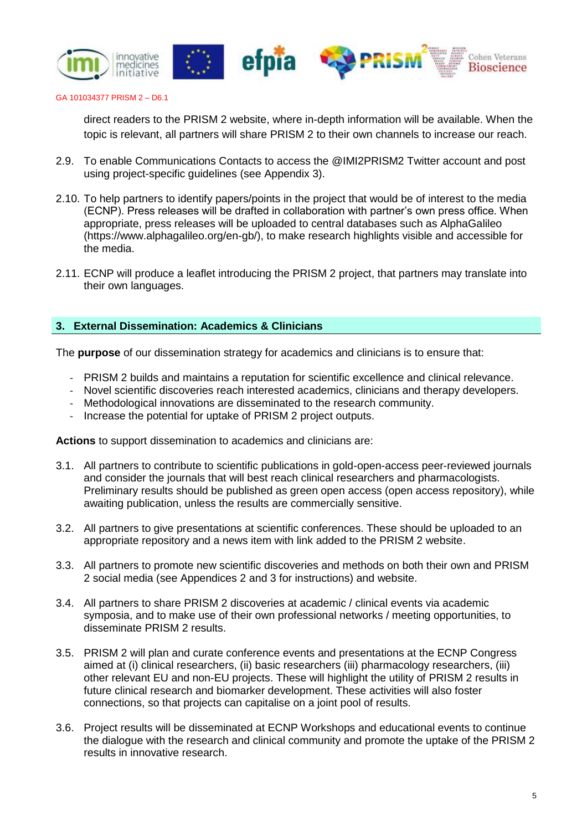

direct readers to the PRISM 2 website, where in-depth information will be available. When the topic is relevant, all partners will share PRISM 2 to their own channels to increase our reach.

- 2.9. To enable Communications Contacts to access the @IMI2PRISM2 Twitter account and post using project-specific guidelines (see Appendix 3).
- 2.10. To help partners to identify papers/points in the project that would be of interest to the media (ECNP). Press releases will be drafted in collaboration with partner's own press office. When appropriate, press releases will be uploaded to central databases such as AlphaGalileo (https://www.alphagalileo.org/en-gb/), to make research highlights visible and accessible for the media.
- 2.11. ECNP will produce a leaflet introducing the PRISM 2 project, that partners may translate into their own languages.

## **3. External Dissemination: Academics & Clinicians**

The **purpose** of our dissemination strategy for academics and clinicians is to ensure that:

- PRISM 2 builds and maintains a reputation for scientific excellence and clinical relevance.
- Novel scientific discoveries reach interested academics, clinicians and therapy developers.
- Methodological innovations are disseminated to the research community.
- Increase the potential for uptake of PRISM 2 project outputs.

**Actions** to support dissemination to academics and clinicians are:

- 3.1. All partners to contribute to scientific publications in gold-open-access peer-reviewed journals and consider the journals that will best reach clinical researchers and pharmacologists. Preliminary results should be published as green open access (open access repository), while awaiting publication, unless the results are commercially sensitive.
- 3.2. All partners to give presentations at scientific conferences. These should be uploaded to an appropriate repository and a news item with link added to the PRISM 2 website.
- 3.3. All partners to promote new scientific discoveries and methods on both their own and PRISM 2 social media (see Appendices 2 and 3 for instructions) and website.
- 3.4. All partners to share PRISM 2 discoveries at academic / clinical events via academic symposia, and to make use of their own professional networks / meeting opportunities, to disseminate PRISM 2 results.
- 3.5. PRISM 2 will plan and curate conference events and presentations at the ECNP Congress aimed at (i) clinical researchers, (ii) basic researchers (iii) pharmacology researchers, (iii) other relevant EU and non-EU projects. These will highlight the utility of PRISM 2 results in future clinical research and biomarker development. These activities will also foster connections, so that projects can capitalise on a joint pool of results.
- 3.6. Project results will be disseminated at ECNP Workshops and educational events to continue the dialogue with the research and clinical community and promote the uptake of the PRISM 2 results in innovative research.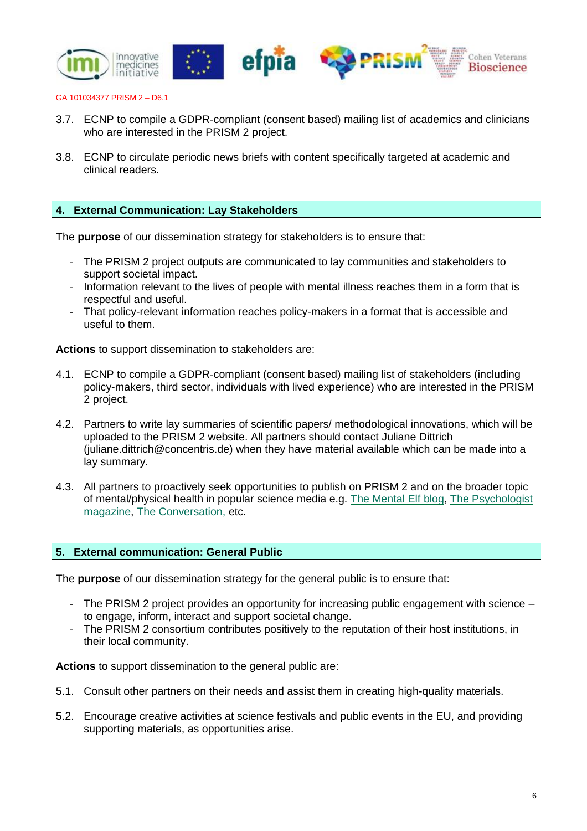

- 3.7. ECNP to compile a GDPR-compliant (consent based) mailing list of academics and clinicians who are interested in the PRISM 2 project.
- 3.8. ECNP to circulate periodic news briefs with content specifically targeted at academic and clinical readers.

# **4. External Communication: Lay Stakeholders**

The **purpose** of our dissemination strategy for stakeholders is to ensure that:

- The PRISM 2 project outputs are communicated to lay communities and stakeholders to support societal impact.
- Information relevant to the lives of people with mental illness reaches them in a form that is respectful and useful.
- That policy-relevant information reaches policy-makers in a format that is accessible and useful to them.

**Actions** to support dissemination to stakeholders are:

- 4.1. ECNP to compile a GDPR-compliant (consent based) mailing list of stakeholders (including policy-makers, third sector, individuals with lived experience) who are interested in the PRISM 2 project.
- 4.2. Partners to write lay summaries of scientific papers/ methodological innovations, which will be uploaded to the PRISM 2 website. All partners should contact Juliane Dittrich (juliane.dittrich@concentris.de) when they have material available which can be made into a lay summary.
- 4.3. All partners to proactively seek opportunities to publish on PRISM 2 and on the broader topic of mental/physical health in popular science media e.g. [The Mental Elf blog,](https://www.nationalelfservice.net/mental-health/) The Psychologist [magazine,](https://thepsychologist.bps.org.uk/) [The Conversation,](https://theconversation.com/uk) etc.

## **5. External communication: General Public**

The **purpose** of our dissemination strategy for the general public is to ensure that:

- The PRISM 2 project provides an opportunity for increasing public engagement with science to engage, inform, interact and support societal change.
- The PRISM 2 consortium contributes positively to the reputation of their host institutions, in their local community.

**Actions** to support dissemination to the general public are:

- 5.1. Consult other partners on their needs and assist them in creating high-quality materials.
- 5.2. Encourage creative activities at science festivals and public events in the EU, and providing supporting materials, as opportunities arise.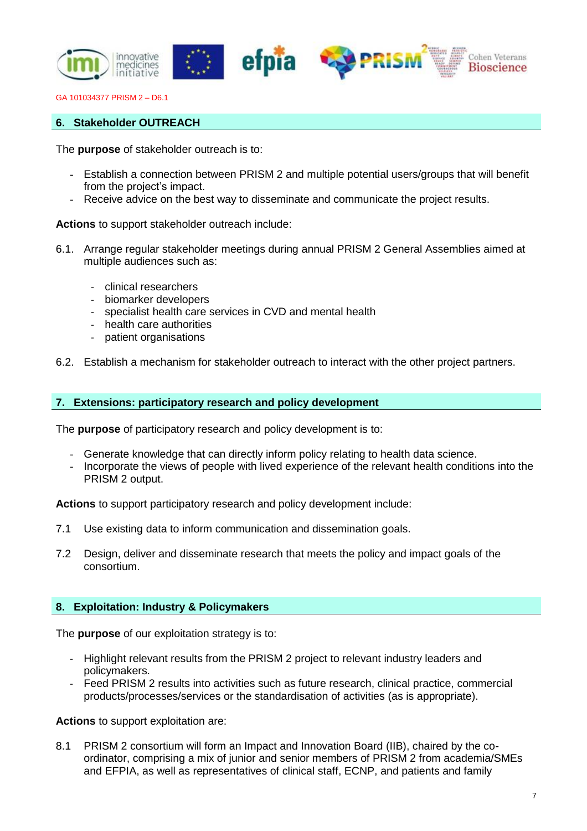

## **6. Stakeholder OUTREACH**

The **purpose** of stakeholder outreach is to:

- Establish a connection between PRISM 2 and multiple potential users/groups that will benefit from the project's impact.
- Receive advice on the best way to disseminate and communicate the project results.

**Actions** to support stakeholder outreach include:

- 6.1. Arrange regular stakeholder meetings during annual PRISM 2 General Assemblies aimed at multiple audiences such as:
	- clinical researchers
	- biomarker developers
	- specialist health care services in CVD and mental health
	- health care authorities
	- patient organisations
- 6.2. Establish a mechanism for stakeholder outreach to interact with the other project partners.

#### **7. Extensions: participatory research and policy development**

The **purpose** of participatory research and policy development is to:

- Generate knowledge that can directly inform policy relating to health data science.
- Incorporate the views of people with lived experience of the relevant health conditions into the PRISM 2 output.

**Actions** to support participatory research and policy development include:

- 7.1 Use existing data to inform communication and dissemination goals.
- 7.2 Design, deliver and disseminate research that meets the policy and impact goals of the consortium.

## **8. Exploitation: Industry & Policymakers**

The **purpose** of our exploitation strategy is to:

- Highlight relevant results from the PRISM 2 project to relevant industry leaders and policymakers.
- Feed PRISM 2 results into activities such as future research, clinical practice, commercial products/processes/services or the standardisation of activities (as is appropriate).

**Actions** to support exploitation are:

8.1 PRISM 2 consortium will form an Impact and Innovation Board (IIB), chaired by the coordinator, comprising a mix of junior and senior members of PRISM 2 from academia/SMEs and EFPIA, as well as representatives of clinical staff, ECNP, and patients and family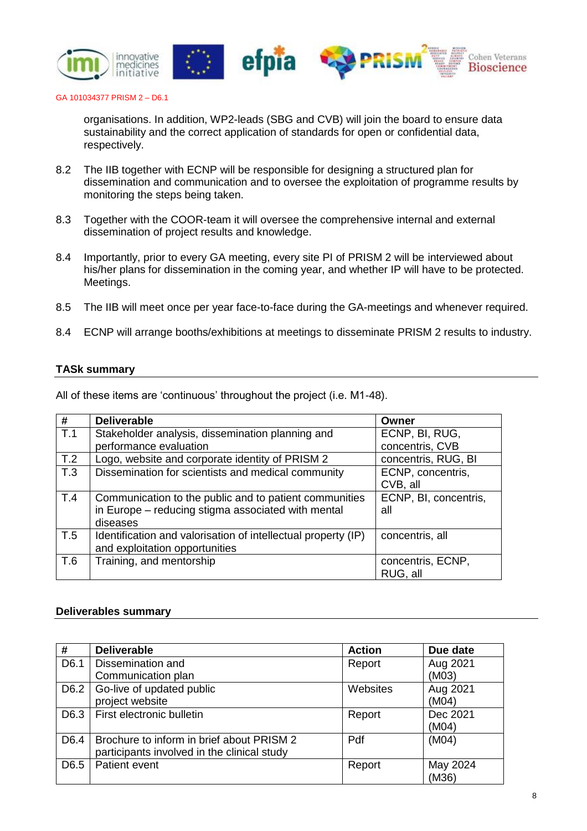

organisations. In addition, WP2-leads (SBG and CVB) will join the board to ensure data sustainability and the correct application of standards for open or confidential data, respectively.

- 8.2 The IIB together with ECNP will be responsible for designing a structured plan for dissemination and communication and to oversee the exploitation of programme results by monitoring the steps being taken.
- 8.3 Together with the COOR-team it will oversee the comprehensive internal and external dissemination of project results and knowledge.
- 8.4 Importantly, prior to every GA meeting, every site PI of PRISM 2 will be interviewed about his/her plans for dissemination in the coming year, and whether IP will have to be protected. Meetings.
- 8.5 The IIB will meet once per year face-to-face during the GA-meetings and whenever required.
- 8.4 ECNP will arrange booths/exhibitions at meetings to disseminate PRISM 2 results to industry.

## **TASk summary**

| #   | <b>Deliverable</b>                                            | Owner                 |
|-----|---------------------------------------------------------------|-----------------------|
| T.1 | Stakeholder analysis, dissemination planning and              | ECNP, BI, RUG,        |
|     | performance evaluation                                        | concentris, CVB       |
| T.2 | Logo, website and corporate identity of PRISM 2               | concentris, RUG, BI   |
| T.3 | Dissemination for scientists and medical community            | ECNP, concentris,     |
|     |                                                               | CVB, all              |
| T.4 | Communication to the public and to patient communities        | ECNP, BI, concentris, |
|     | in Europe - reducing stigma associated with mental            | all                   |
|     | diseases                                                      |                       |
| T.5 | Identification and valorisation of intellectual property (IP) | concentris, all       |
|     | and exploitation opportunities                                |                       |
| T.6 | Training, and mentorship                                      | concentris, ECNP,     |
|     |                                                               | RUG, all              |

All of these items are 'continuous' throughout the project (i.e. M1-48).

#### **Deliverables summary**

| #                | <b>Deliverable</b>                          | <b>Action</b> | Due date |
|------------------|---------------------------------------------|---------------|----------|
| D6.1             | Dissemination and                           | Report        | Aug 2021 |
|                  | Communication plan                          |               | (M03)    |
| D6.2             | Go-live of updated public                   | Websites      | Aug 2021 |
|                  | project website                             |               | (M04)    |
| D6.3             | First electronic bulletin                   | Report        | Dec 2021 |
|                  |                                             |               | (M04)    |
| D <sub>6.4</sub> | Brochure to inform in brief about PRISM 2   | Pdf           | (M04)    |
|                  | participants involved in the clinical study |               |          |
| D <sub>6.5</sub> | Patient event                               | Report        | May 2024 |
|                  |                                             |               | (M36)    |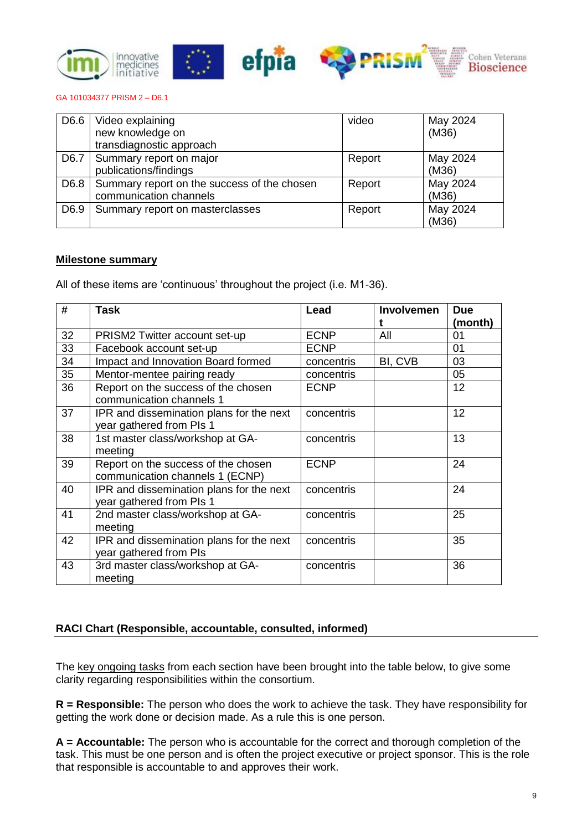

| D <sub>6.6</sub> | Video explaining<br>new knowledge on        | video  | May 2024<br>(M36) |
|------------------|---------------------------------------------|--------|-------------------|
|                  | transdiagnostic approach                    |        |                   |
|                  |                                             |        |                   |
| D6.7             | Summary report on major                     | Report | May 2024          |
|                  | publications/findings                       |        | (M36)             |
| D6.8             | Summary report on the success of the chosen | Report | May 2024          |
|                  | communication channels                      |        | (M36)             |
| D6.9             | Summary report on masterclasses             | Report | May 2024          |
|                  |                                             |        | (M36)             |

## **Milestone summary**

All of these items are 'continuous' throughout the project (i.e. M1-36).

| #  | <b>Task</b>                                                            | Lead        | Involvemen | <b>Due</b> |
|----|------------------------------------------------------------------------|-------------|------------|------------|
|    |                                                                        |             |            | (month)    |
| 32 | PRISM2 Twitter account set-up                                          | <b>ECNP</b> | All        | 01         |
| 33 | Facebook account set-up                                                | <b>ECNP</b> |            | 01         |
| 34 | Impact and Innovation Board formed                                     | concentris  | BI, CVB    | 03         |
| 35 | Mentor-mentee pairing ready                                            | concentris  |            | 05         |
| 36 | Report on the success of the chosen<br>communication channels 1        | <b>ECNP</b> |            | 12         |
| 37 | IPR and dissemination plans for the next<br>year gathered from PIs 1   | concentris  |            | 12         |
| 38 | 1st master class/workshop at GA-<br>meeting                            | concentris  |            | 13         |
| 39 | Report on the success of the chosen<br>communication channels 1 (ECNP) | <b>ECNP</b> |            | 24         |
| 40 | IPR and dissemination plans for the next<br>year gathered from PIs 1   | concentris  |            | 24         |
| 41 | 2nd master class/workshop at GA-<br>meeting                            | concentris  |            | 25         |
| 42 | IPR and dissemination plans for the next<br>year gathered from PIs     | concentris  |            | 35         |
| 43 | 3rd master class/workshop at GA-<br>meeting                            | concentris  |            | 36         |

# **RACI Chart (Responsible, accountable, consulted, informed)**

The key ongoing tasks from each section have been brought into the table below, to give some clarity regarding responsibilities within the consortium.

**R = Responsible:** The person who does the work to achieve the task. They have responsibility for getting the work done or decision made. As a rule this is one person.

**A = Accountable:** The person who is accountable for the correct and thorough completion of the task. This must be one person and is often the project executive or project sponsor. This is the role that responsible is accountable to and approves their work.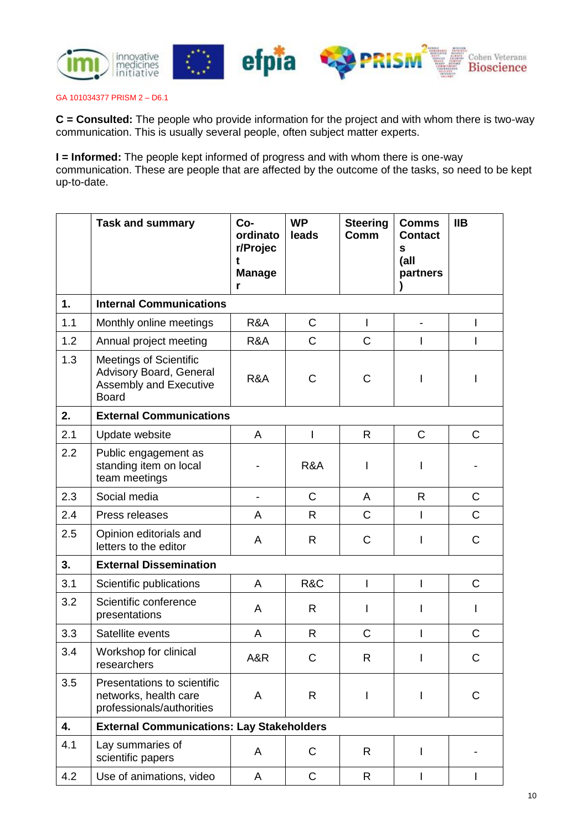

**C = Consulted:** The people who provide information for the project and with whom there is two-way communication. This is usually several people, often subject matter experts.

**I = Informed:** The people kept informed of progress and with whom there is one-way communication. These are people that are affected by the outcome of the tasks, so need to be kept up-to-date.

|     | <b>Task and summary</b>                                                                                   | Co-<br>ordinato<br>r/Projec<br><b>Manage</b><br>r | <b>WP</b><br>leads | <b>Steering</b><br>Comm | <b>Comms</b><br><b>Contact</b><br>$\mathbf s$<br>(all<br>partners | <b>IIB</b>   |
|-----|-----------------------------------------------------------------------------------------------------------|---------------------------------------------------|--------------------|-------------------------|-------------------------------------------------------------------|--------------|
| 1.  | <b>Internal Communications</b>                                                                            |                                                   |                    |                         |                                                                   |              |
| 1.1 | Monthly online meetings                                                                                   | R&A                                               | $\mathsf{C}$       | $\mathsf{I}$            | $\overline{\phantom{0}}$                                          |              |
| 1.2 | Annual project meeting                                                                                    | R&A                                               | $\mathsf{C}$       | $\mathsf{C}$            |                                                                   |              |
| 1.3 | <b>Meetings of Scientific</b><br>Advisory Board, General<br><b>Assembly and Executive</b><br><b>Board</b> | R&A                                               | $\mathsf C$        | $\mathsf{C}$            |                                                                   |              |
| 2.  | <b>External Communications</b>                                                                            |                                                   |                    |                         |                                                                   |              |
| 2.1 | Update website                                                                                            | A                                                 |                    | $\mathsf{R}$            | $\mathsf{C}$                                                      | $\mathsf{C}$ |
| 2.2 | Public engagement as<br>standing item on local<br>team meetings                                           |                                                   | R&A                |                         |                                                                   |              |
| 2.3 | Social media                                                                                              |                                                   | $\mathsf{C}$       | A                       | $\mathsf{R}$                                                      | $\mathsf{C}$ |
| 2.4 | Press releases                                                                                            | A                                                 | R                  | $\mathsf{C}$            |                                                                   | $\mathsf{C}$ |
| 2.5 | Opinion editorials and<br>letters to the editor                                                           | A                                                 | R                  | C                       |                                                                   | C            |
| 3.  | <b>External Dissemination</b>                                                                             |                                                   |                    |                         |                                                                   |              |
| 3.1 | Scientific publications                                                                                   | A                                                 | R&C                | $\mathsf{I}$            | I                                                                 | $\mathsf{C}$ |
| 3.2 | Scientific conference<br>presentations                                                                    | A                                                 | $\mathsf{R}$       | L                       | ı                                                                 |              |
| 3.3 | Satellite events                                                                                          | A                                                 | R.                 | $\mathsf{C}$            | I                                                                 | $\mathsf{C}$ |
| 3.4 | Workshop for clinical<br>researchers                                                                      | A&R                                               | $\mathsf C$        | R                       |                                                                   | C            |
| 3.5 | Presentations to scientific<br>networks, health care<br>professionals/authorities                         | A                                                 | R                  | I                       | I                                                                 | C            |
| 4.  | <b>External Communications: Lay Stakeholders</b>                                                          |                                                   |                    |                         |                                                                   |              |
| 4.1 | Lay summaries of<br>scientific papers                                                                     | A                                                 | $\mathsf{C}$       | R                       | I                                                                 |              |
| 4.2 | Use of animations, video                                                                                  | A                                                 | $\mathsf C$        | $\mathsf{R}$            | I                                                                 | I            |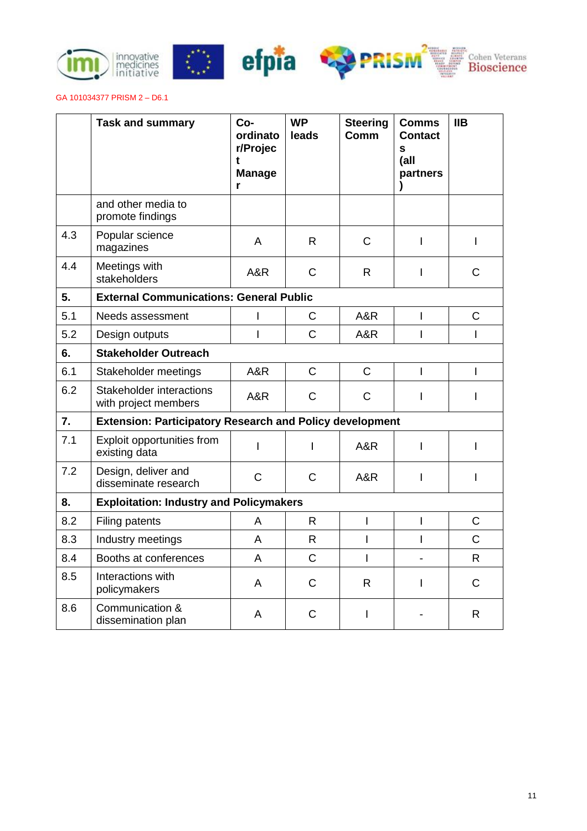







|     | <b>Task and summary</b>                                         | Co-<br>ordinato<br>r/Projec<br>t<br><b>Manage</b><br>r | <b>WP</b><br>leads | <b>Steering</b><br>Comm | <b>Comms</b><br><b>Contact</b><br>S<br>(all<br>partners | <b>IIB</b>     |
|-----|-----------------------------------------------------------------|--------------------------------------------------------|--------------------|-------------------------|---------------------------------------------------------|----------------|
|     | and other media to<br>promote findings                          |                                                        |                    |                         |                                                         |                |
| 4.3 | Popular science<br>magazines                                    | A                                                      | $\mathsf{R}$       | $\mathsf C$             | I                                                       | I              |
| 4.4 | Meetings with<br>stakeholders                                   | A&R                                                    | $\mathsf{C}$       | $\mathsf{R}$            | I                                                       | $\mathsf{C}$   |
| 5.  | <b>External Communications: General Public</b>                  |                                                        |                    |                         |                                                         |                |
| 5.1 | Needs assessment                                                | I                                                      | $\mathsf{C}$       | A&R                     | I                                                       | $\mathsf C$    |
| 5.2 | Design outputs                                                  | I                                                      | $\overline{C}$     | A&R                     | I                                                       | I              |
| 6.  | <b>Stakeholder Outreach</b>                                     |                                                        |                    |                         |                                                         |                |
| 6.1 | Stakeholder meetings                                            | A&R                                                    | $\overline{C}$     | $\mathsf{C}$            | L                                                       | I              |
| 6.2 | Stakeholder interactions<br>with project members                | A&R                                                    | $\mathsf{C}$       | $\mathsf{C}$            |                                                         | I              |
| 7.  | <b>Extension: Participatory Research and Policy development</b> |                                                        |                    |                         |                                                         |                |
| 7.1 | Exploit opportunities from<br>existing data                     | T                                                      | $\mathsf{I}$       | A&R                     | I                                                       | I              |
| 7.2 | Design, deliver and<br>disseminate research                     | $\mathsf{C}$                                           | $\mathsf{C}$       | A&R                     | I                                                       | I              |
| 8.  | <b>Exploitation: Industry and Policymakers</b>                  |                                                        |                    |                         |                                                         |                |
| 8.2 | Filing patents                                                  | A                                                      | $\mathsf{R}$       | $\overline{1}$          | I                                                       | $\mathsf{C}$   |
| 8.3 | Industry meetings                                               | A                                                      | $\mathsf{R}$       | $\mathsf{I}$            | L                                                       | $\overline{C}$ |
| 8.4 | Booths at conferences                                           | A                                                      | $\overline{C}$     | $\mathsf{I}$            |                                                         | $\mathsf{R}$   |
| 8.5 | Interactions with<br>policymakers                               | $\overline{A}$                                         | $\mathsf{C}$       | $\mathsf{R}$            | I                                                       | $\mathsf{C}$   |
| 8.6 | Communication &<br>dissemination plan                           | A                                                      | $\mathsf{C}$       | I                       |                                                         | R              |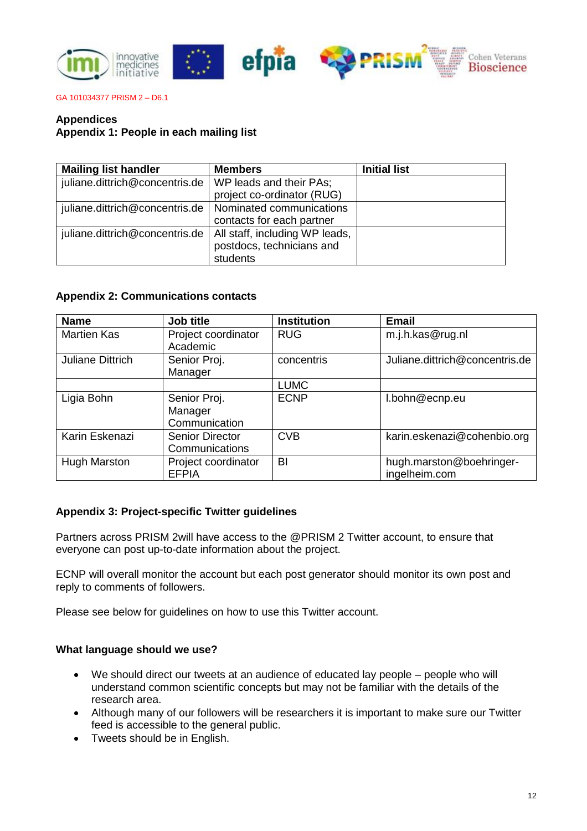

## **Appendices**

# **Appendix 1: People in each mailing list**

| <b>Mailing list handler</b>                                     | <b>Members</b>                        | <b>Initial list</b> |
|-----------------------------------------------------------------|---------------------------------------|---------------------|
| juliane.dittrich@concentris.de   WP leads and their PAs;        | project co-ordinator (RUG)            |                     |
| juliane.dittrich@concentris.de   Nominated communications       | contacts for each partner             |                     |
| juliane.dittrich@concentris.de   All staff, including WP leads, | postdocs, technicians and<br>students |                     |

## **Appendix 2: Communications contacts**

| <b>Name</b>         | Job title                                | <b>Institution</b> | <b>Email</b>                              |
|---------------------|------------------------------------------|--------------------|-------------------------------------------|
| <b>Martien Kas</b>  | Project coordinator<br>Academic          | <b>RUG</b>         | m.j.h.kas@rug.nl                          |
| Juliane Dittrich    | Senior Proj.<br>Manager                  | concentris         | Juliane.dittrich@concentris.de            |
|                     |                                          | <b>LUMC</b>        |                                           |
| Ligia Bohn          | Senior Proj.<br>Manager<br>Communication | <b>ECNP</b>        | I.bohn@ecnp.eu                            |
| Karin Eskenazi      | <b>Senior Director</b><br>Communications | <b>CVB</b>         | karin.eskenazi@cohenbio.org               |
| <b>Hugh Marston</b> | Project coordinator<br><b>EFPIA</b>      | BI                 | hugh.marston@boehringer-<br>ingelheim.com |

## **Appendix 3: Project-specific Twitter guidelines**

Partners across PRISM 2will have access to the @PRISM 2 Twitter account, to ensure that everyone can post up-to-date information about the project.

ECNP will overall monitor the account but each post generator should monitor its own post and reply to comments of followers.

Please see below for guidelines on how to use this Twitter account.

#### **What language should we use?**

- We should direct our tweets at an audience of educated lay people people who will understand common scientific concepts but may not be familiar with the details of the research area.
- Although many of our followers will be researchers it is important to make sure our Twitter feed is accessible to the general public.
- Tweets should be in English.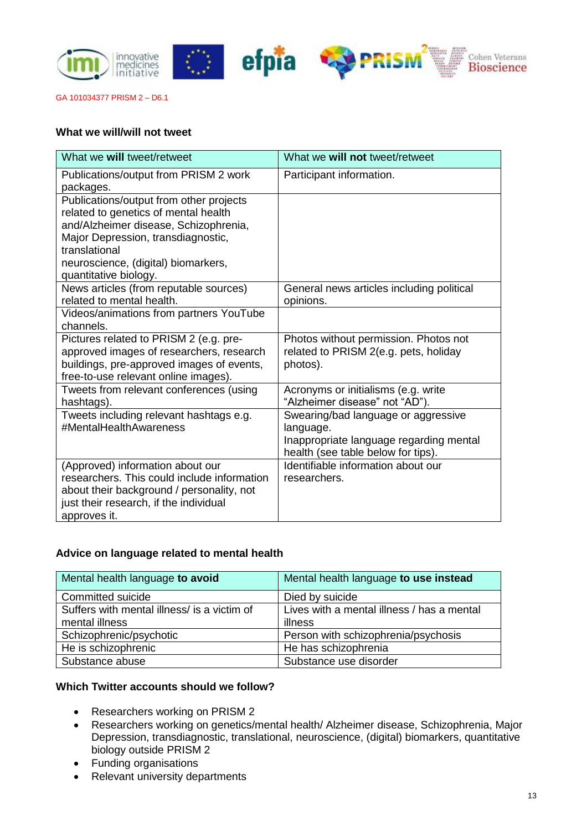

## **What we will/will not tweet**

| What we will tweet/retweet                                                                                                                                                                                                                      | What we will not tweet/retweet                                                                                                    |  |
|-------------------------------------------------------------------------------------------------------------------------------------------------------------------------------------------------------------------------------------------------|-----------------------------------------------------------------------------------------------------------------------------------|--|
| Publications/output from PRISM 2 work<br>packages.                                                                                                                                                                                              | Participant information.                                                                                                          |  |
| Publications/output from other projects<br>related to genetics of mental health<br>and/Alzheimer disease, Schizophrenia,<br>Major Depression, transdiagnostic,<br>translational<br>neuroscience, (digital) biomarkers,<br>quantitative biology. |                                                                                                                                   |  |
| News articles (from reputable sources)<br>related to mental health.                                                                                                                                                                             | General news articles including political<br>opinions.                                                                            |  |
| Videos/animations from partners YouTube<br>channels.                                                                                                                                                                                            |                                                                                                                                   |  |
| Pictures related to PRISM 2 (e.g. pre-<br>approved images of researchers, research<br>buildings, pre-approved images of events,<br>free-to-use relevant online images).                                                                         | Photos without permission. Photos not<br>related to PRISM 2(e.g. pets, holiday<br>photos).                                        |  |
| Tweets from relevant conferences (using<br>hashtags).                                                                                                                                                                                           | Acronyms or initialisms (e.g. write<br>"Alzheimer disease" not "AD").                                                             |  |
| Tweets including relevant hashtags e.g.<br>#MentalHealthAwareness                                                                                                                                                                               | Swearing/bad language or aggressive<br>language.<br>Inappropriate language regarding mental<br>health (see table below for tips). |  |
| (Approved) information about our<br>researchers. This could include information<br>about their background / personality, not<br>just their research, if the individual<br>approves it.                                                          | Identifiable information about our<br>researchers.                                                                                |  |

# **Advice on language related to mental health**

| Mental health language to avoid             | Mental health language to use instead      |  |
|---------------------------------------------|--------------------------------------------|--|
| Committed suicide                           | Died by suicide                            |  |
| Suffers with mental illness/ is a victim of | Lives with a mental illness / has a mental |  |
| mental illness                              | illness                                    |  |
| Schizophrenic/psychotic                     | Person with schizophrenia/psychosis        |  |
| He is schizophrenic                         | He has schizophrenia                       |  |
| Substance abuse                             | Substance use disorder                     |  |

# **Which Twitter accounts should we follow?**

- Researchers working on PRISM 2
- Researchers working on genetics/mental health/ Alzheimer disease, Schizophrenia, Major Depression, transdiagnostic, translational, neuroscience, (digital) biomarkers, quantitative biology outside PRISM 2
- Funding organisations
- Relevant university departments